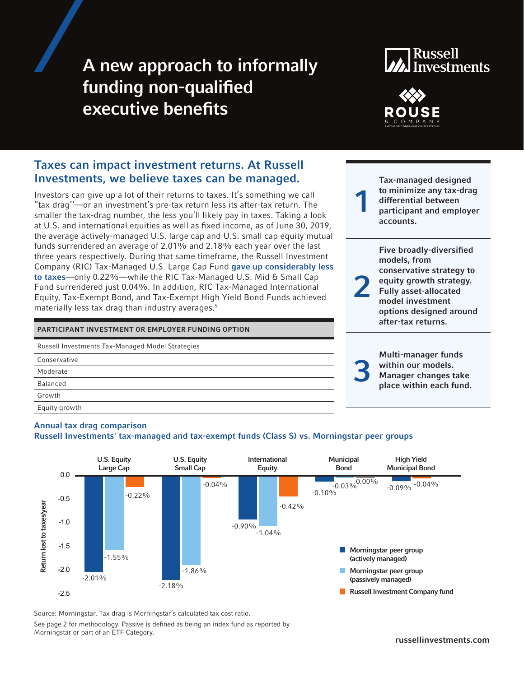# A new approach to informally funding non-qualified executive benefits

# **Russell Investments**



# Taxes can impact investment returns. At Russell Investments, we believe taxes can be managed.

Investors can give up a lot of their returns to taxes. It's something we call "tax drag''—or an investment's pre-tax return less its after-tax return. The smaller the tax-drag number, the less you'll likely pay in taxes. Taking a look at U.S. and international equities as well as fixed income, as of June 30, 2019, the average actively-managed U.S. large cap and U.S. small cap equity mutual funds surrendered an average of 2.01% and 2.18% each year over the last three years respectively. During that same timeframe, the Russell Investment Company (RIC) Tax-Managed U.S. Large Cap Fund gave up considerably less to taxes—only 0.22%—while the RIC Tax-Managed U.S. Mid & Small Cap Fund surrendered just 0.04%. In addition, RIC Tax-Managed International Equity, Tax-Exempt Bond, and Tax-Exempt High Yield Bond Funds achieved materially less tax drag than industry averages.<sup>5</sup>

### PARTICIPANT INVESTMENT OR EMPLOYER FUNDING OPTION

| Russell Investments Tax-Managed Model Strategies |
|--------------------------------------------------|
| Conservative                                     |
| Moderate                                         |
| <b>Balanced</b>                                  |
| Growth                                           |
| Equity growth                                    |

1 Tax-managed designed to minimize any tax-drag differential between participant and employer accounts.

2 Five broadly-diversified models, from conservative strategy to equity growth strategy. Fully asset-allocated model investment options designed around after-tax returns.

> Multi-manager funds within our models. Manager changes take place within each fund.

3

# Annual tax drag comparison

# Russell Investments' tax-managed and tax-exempt funds (Class S) vs. Morningstar peer groups



Source: Morningstar. Tax drag is Morningstar's calculated tax cost ratio.

See page 2 for methodology. Passive is defined as being an index fund as reported by Morningstar or part of an ETF Category.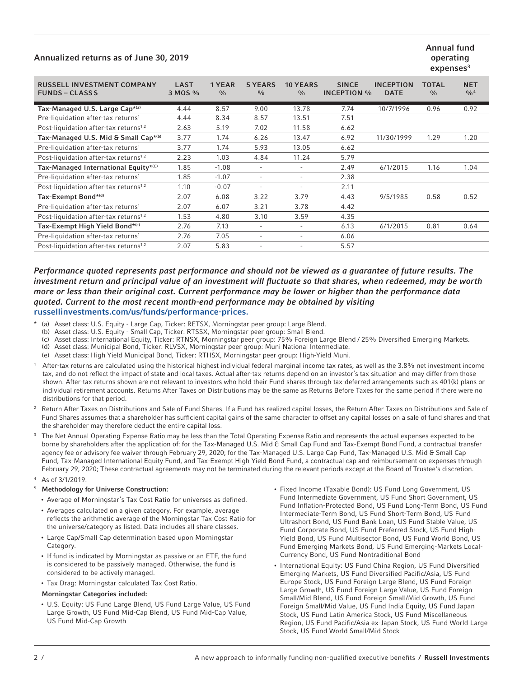# Annualized returns as of June 30, 2019

### Annual fund operating  $expenses<sup>3</sup>$

| <b>LAST</b><br>3 MOS % | 1 YEAR<br>$\frac{0}{0}$ | <b>5 YEARS</b><br>$\frac{0}{0}$ | <b>10 YEARS</b><br>$\frac{0}{0}$ | <b>SINCE</b> | <b>INCEPTION</b><br><b>DATE</b> | TOTAL<br>$\frac{0}{0}$ | <b>NET</b><br>0/0 <sup>4</sup> |
|------------------------|-------------------------|---------------------------------|----------------------------------|--------------|---------------------------------|------------------------|--------------------------------|
| 4.44                   | 8.57                    | 9.00                            | 13.78                            | 7.74         | 10/7/1996                       | 0.96                   | 0.92                           |
| 4.44                   | 8.34                    | 8.57                            | 13.51                            | 7.51         |                                 |                        |                                |
| 2.63                   | 5.19                    | 7.02                            | 11.58                            | 6.62         |                                 |                        |                                |
| 3.77                   | 1.74                    | 6.26                            | 13.47                            | 6.92         | 11/30/1999                      | 1.29                   | 1.20                           |
| 3.77                   | 1.74                    | 5.93                            | 13.05                            | 6.62         |                                 |                        |                                |
| 2.23                   | 1.03                    | 4.84                            | 11.24                            | 5.79         |                                 |                        |                                |
| 1.85                   | $-1.08$                 | $\overline{\phantom{0}}$        | $\overline{\phantom{a}}$         | 2.49         | 6/1/2015                        | 1.16                   | 1.04                           |
| 1.85                   | $-1.07$                 | $\overline{\phantom{0}}$        | $\overline{\phantom{a}}$         | 2.38         |                                 |                        |                                |
| 1.10                   | $-0.07$                 | $\overline{\phantom{a}}$        | $\overline{\phantom{a}}$         | 2.11         |                                 |                        |                                |
| 2.07                   | 6.08                    | 3.22                            | 3.79                             | 4.43         | 9/5/1985                        | 0.58                   | 0.52                           |
| 2.07                   | 6.07                    | 3.21                            | 3.78                             | 4.42         |                                 |                        |                                |
| 1.53                   | 4.80                    | 3.10                            | 3.59                             | 4.35         |                                 |                        |                                |
| 2.76                   | 7.13                    | $\overline{\phantom{a}}$        | $\overline{\phantom{a}}$         | 6.13         | 6/1/2015                        | 0.81                   | 0.64                           |
| 2.76                   | 7.05                    | $\overline{\phantom{0}}$        | $\overline{\phantom{a}}$         | 6.06         |                                 |                        |                                |
| 2.07                   | 5.83                    | $\overline{\phantom{a}}$        |                                  | 5.57         |                                 |                        |                                |
|                        |                         |                                 |                                  |              |                                 | <b>INCEPTION %</b>     |                                |

## *Performance quoted represents past performance and should not be viewed as a guarantee of future results. The investment return and principal value of an investment will fluctuate so that shares, when redeemed, may be worth more or less than their original cost. Current performance may be lower or higher than the performance data quoted. Current to the most recent month-end performance may be obtained by visiting*  russellinvestments.com/us/funds/performance-prices.

- (a) Asset class: U.S. Equity Large Cap, Ticker: RETSX, Morningstar peer group: Large Blend.
- (b) Asset class: U.S. Equity Small Cap, Ticker: RTSSX, Morningstar peer group: Small Blend.
- (c) Asset class: International Equity, Ticker: RTNSX, Morningstar peer group: 75% Foreign Large Blend / 25% Diversified Emerging Markets.
- (d) Asset class: Municipal Bond, Ticker: RLVSX, Morningstar peer group: Muni National Intermediate.
- (e) Asset class: High Yield Municipal Bond, Ticker: RTHSX, Morningstar peer group: High-Yield Muni.
- <sup>1</sup> After-tax returns are calculated using the historical highest individual federal marginal income tax rates, as well as the 3.8% net investment income tax, and do not reflect the impact of state and local taxes. Actual after-tax returns depend on an investor's tax situation and may differ from those shown. After-tax returns shown are not relevant to investors who hold their Fund shares through tax-deferred arrangements such as 401(k) plans or individual retirement accounts. Returns After Taxes on Distributions may be the same as Returns Before Taxes for the same period if there were no distributions for that period.
- <sup>2</sup> Return After Taxes on Distributions and Sale of Fund Shares. If a Fund has realized capital losses, the Return After Taxes on Distributions and Sale of Fund Shares assumes that a shareholder has sufficient capital gains of the same character to offset any capital losses on a sale of fund shares and that the shareholder may therefore deduct the entire capital loss.
- <sup>3</sup> The Net Annual Operating Expense Ratio may be less than the Total Operating Expense Ratio and represents the actual expenses expected to be borne by shareholders after the application of: for the Tax-Managed U.S. Mid & Small Cap Fund and Tax-Exempt Bond Fund, a contractual transfer agency fee or advisory fee waiver through February 29, 2020; for the Tax-Managed U.S. Large Cap Fund, Tax-Managed U.S. Mid & Small Cap Fund, Tax-Managed International Equity Fund, and Tax-Exempt High Yield Bond Fund, a contractual cap and reimbursement on expenses through February 29, 2020; These contractual agreements may not be terminated during the relevant periods except at the Board of Trustee's discretion.
- As of 3/1/2019.

#### <sup>5</sup> Methodology for Universe Construction:

- Average of Morningstar's Tax Cost Ratio for universes as defined.
- Averages calculated on a given category. For example, average reflects the arithmetic average of the Morningstar Tax Cost Ratio for the universe/category as listed. Data includes all share classes.
- Large Cap/Small Cap determination based upon Morningstar Category.
- If fund is indicated by Morningstar as passive or an ETF, the fund is considered to be passively managed. Otherwise, the fund is considered to be actively managed.
- Tax Drag: Morningstar calculated Tax Cost Ratio.

#### Morningstar Categories included:

- U.S. Equity: US Fund Large Blend, US Fund Large Value, US Fund Large Growth, US Fund Mid-Cap Blend, US Fund Mid-Cap Value, US Fund Mid-Cap Growth
- Fixed Income (Taxable Bond): US Fund Long Government, US Fund Intermediate Government, US Fund Short Government, US Fund Inflation-Protected Bond, US Fund Long-Term Bond, US Fund Intermediate-Term Bond, US Fund Short-Term Bond, US Fund Ultrashort Bond, US Fund Bank Loan, US Fund Stable Value, US Fund Corporate Bond, US Fund Preferred Stock, US Fund High-Yield Bond, US Fund Multisector Bond, US Fund World Bond, US Fund Emerging Markets Bond, US Fund Emerging-Markets Local-Currency Bond, US Fund Nontraditional Bond
- International Equity: US Fund China Region, US Fund Diversified Emerging Markets, US Fund Diversified Pacific/Asia, US Fund Europe Stock, US Fund Foreign Large Blend, US Fund Foreign Large Growth, US Fund Foreign Large Value, US Fund Foreign Small/Mid Blend, US Fund Foreign Small/Mid Growth, US Fund Foreign Small/Mid Value, US Fund India Equity, US Fund Japan Stock, US Fund Latin America Stock, US Fund Miscellaneous Region, US Fund Pacific/Asia ex-Japan Stock, US Fund World Large Stock, US Fund World Small/Mid Stock